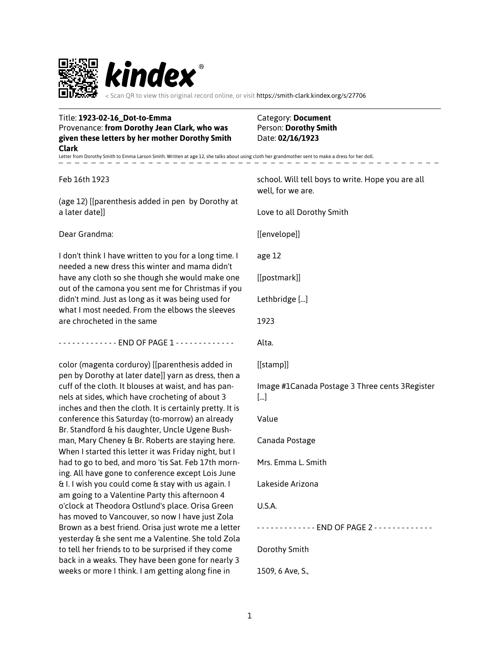

Scan QR to view this original record online, or visit https://smith-clark.kindex.org/s/27706

 $\overline{\phantom{0}}$ 

| Title: 1923-02-16_Dot-to-Emma<br>Provenance: from Dorothy Jean Clark, who was<br>given these letters by her mother Dorothy Smith<br><b>Clark</b>                    | Category: Document<br>Person: Dorothy Smith<br>Date: 02/16/1923        |
|---------------------------------------------------------------------------------------------------------------------------------------------------------------------|------------------------------------------------------------------------|
| Letter from Dorothy Smith to Emma Larson Smith. Written at age 12, she talks about using cloth her grandmother sent to make a dress for her doll.                   |                                                                        |
| Feb 16th 1923                                                                                                                                                       | school. Will tell boys to write. Hope you are all<br>well, for we are. |
| (age 12) [[parenthesis added in pen by Dorothy at<br>a later date]]                                                                                                 | Love to all Dorothy Smith                                              |
| Dear Grandma:                                                                                                                                                       | [[envelope]]                                                           |
| I don't think I have written to you for a long time. I<br>needed a new dress this winter and mama didn't                                                            | age 12                                                                 |
| have any cloth so she though she would make one<br>out of the camona you sent me for Christmas if you                                                               | [[postmark]]                                                           |
| didn't mind. Just as long as it was being used for<br>what I most needed. From the elbows the sleeves                                                               | Lethbridge []                                                          |
| are chrocheted in the same                                                                                                                                          | 1923                                                                   |
|                                                                                                                                                                     | Alta.                                                                  |
| color (magenta corduroy) [[parenthesis added in<br>pen by Dorothy at later date]] yarn as dress, then a                                                             | [[stamp]]                                                              |
| cuff of the cloth. It blouses at waist, and has pan-<br>nels at sides, which have crocheting of about 3<br>inches and then the cloth. It is certainly pretty. It is | Image #1Canada Postage 3 Three cents 3 Register<br>$[]$                |
| conference this Saturday (to-morrow) an already<br>Br. Standford & his daughter, Uncle Ugene Bush-                                                                  | Value                                                                  |
| man, Mary Cheney & Br. Roberts are staying here.<br>When I started this letter it was Friday night, but I                                                           | Canada Postage                                                         |
| had to go to bed, and moro 'tis Sat. Feb 17th morn-<br>ing. All have gone to conference except Lois June                                                            | Mrs. Emma L. Smith                                                     |
| & I. I wish you could come & stay with us again. I<br>am going to a Valentine Party this afternoon 4                                                                | Lakeside Arizona                                                       |
| o'clock at Theodora Ostlund's place. Orisa Green<br>has moved to Vancouver, so now I have just Zola                                                                 | U.S.A.                                                                 |
| Brown as a best friend. Orisa just wrote me a letter<br>yesterday & she sent me a Valentine. She told Zola                                                          |                                                                        |
| to tell her friends to to be surprised if they come<br>back in a weaks. They have been gone for nearly 3                                                            | Dorothy Smith                                                          |

1509, 6 Ave, S.,

weeks or more I think. I am getting along fine in